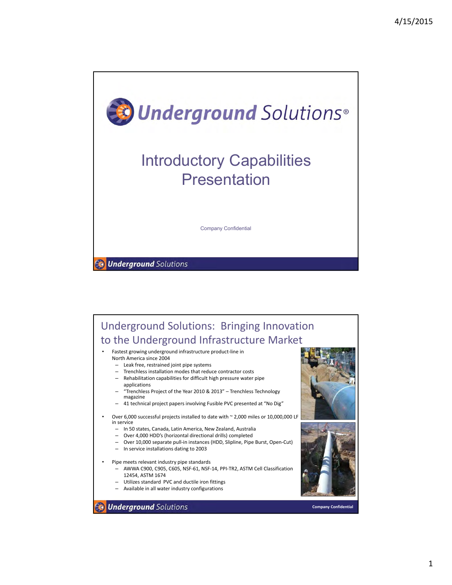

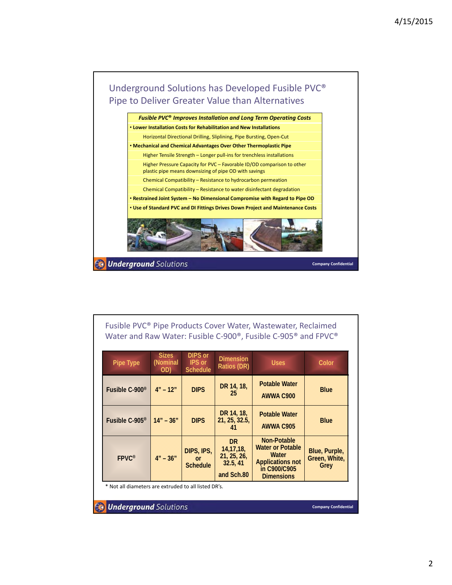

| Fusible PVC <sup>®</sup> Pipe Products Cover Water, Wastewater, Reclaimed<br>Water and Raw Water: Fusible C-900 <sup>®</sup> , Fusible C-905 <sup>®</sup> and FPVC <sup>®</sup> |                                 |                                                    |                                 |                                   |             |  |  |
|---------------------------------------------------------------------------------------------------------------------------------------------------------------------------------|---------------------------------|----------------------------------------------------|---------------------------------|-----------------------------------|-------------|--|--|
| Pipe Type                                                                                                                                                                       | <b>Sizes</b><br>(Nominal<br>OD) | <b>DIPS or</b><br><b>IPS</b> or<br><b>Schedule</b> | <b>Dimension</b><br>Ratios (DR) | <b>Uses</b>                       | Color       |  |  |
| Fusible C-900 <sup>®</sup>                                                                                                                                                      | $4'' - 12''$                    | <b>DIPS</b>                                        | DR 14, 18,<br>25                | <b>Potable Water</b><br>AWWA C900 | <b>Blue</b> |  |  |
|                                                                                                                                                                                 |                                 |                                                    | DR 14, 18,                      | <b>Potable Water</b>              |             |  |  |

| Fusible C-905 <sup>®</sup>                           | $14" - 36"$  | <b>DIPS</b>                   | DR 14, 18,<br>21, 25, 32.5,                                       | <b>Potable Water</b><br><b>AWWA C905</b>                                                                               | <b>Blue</b>                            |  |
|------------------------------------------------------|--------------|-------------------------------|-------------------------------------------------------------------|------------------------------------------------------------------------------------------------------------------------|----------------------------------------|--|
| $FPVC^*$                                             | $4'' - 36''$ | DIPS, IPS,<br><b>Schedule</b> | <b>DR</b><br>14, 17, 18,<br>21, 25, 26,<br>32.5, 41<br>and Sch.80 | <b>Non-Potable</b><br><b>Water or Potable</b><br>Water<br><b>Applications not</b><br>in C900/C905<br><b>Dimensions</b> | Blue, Purple,<br>Green, White,<br>Grey |  |
| * Not all diameters are extruded to all listed DR's. |              |                               |                                                                   |                                                                                                                        |                                        |  |

**Underground Solutions** 

**Company Confidential**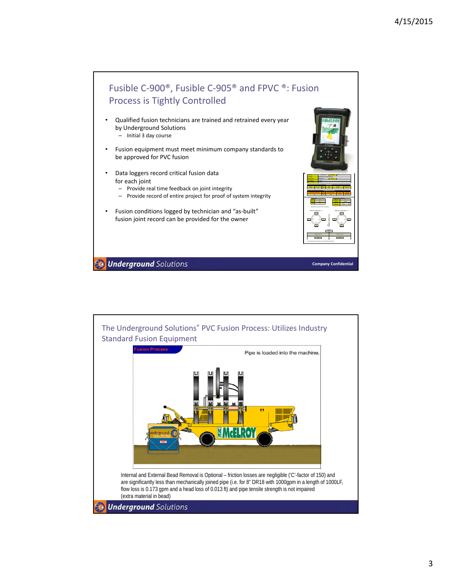

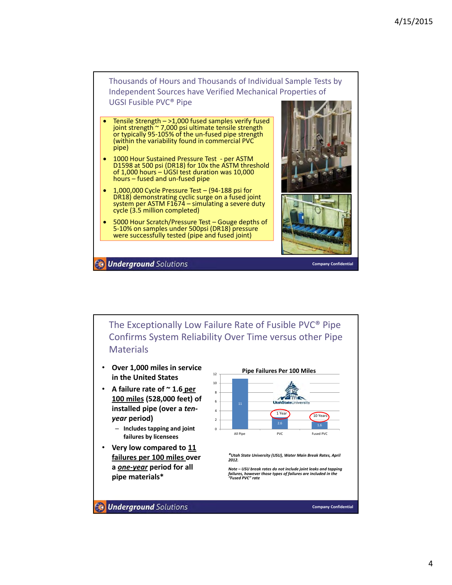

- Tensile Strength >1,000 fused samples verify fused joint strength ~ 7,000 psi ultimate tensile strength or typically 95‐105% of the un‐fused pipe strength (within the variability found in commercial PVC pipe)
- 1000 Hour Sustained Pressure Test per ASTM D1598 at 500 psi (DR18) for 10x the ASTM threshold of 1,000 hours – UGSI test duration was 10,000 hours – fused and un‐fused pipe
- 1,000,000 Cycle Pressure Test (94‐188 psi for DR18) demonstrating cyclic surge on a fused joint system per ASTM F1674 – simulating a severe duty cycle (3.5 million completed)
- 5000 Hour Scratch/Pressure Test Gouge depths of 5‐10% on samples under 500psi (DR18) pressure were successfully tested (pipe and fused joint)



**Underground Solutions** 

**Company Confidential**

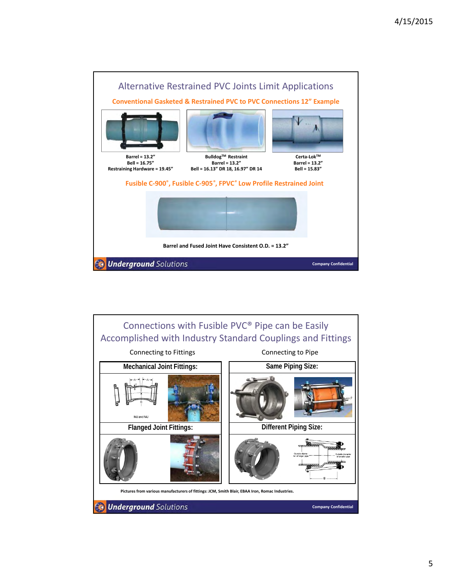

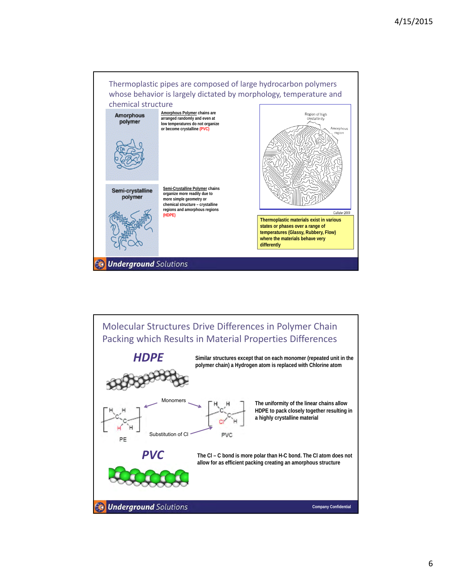

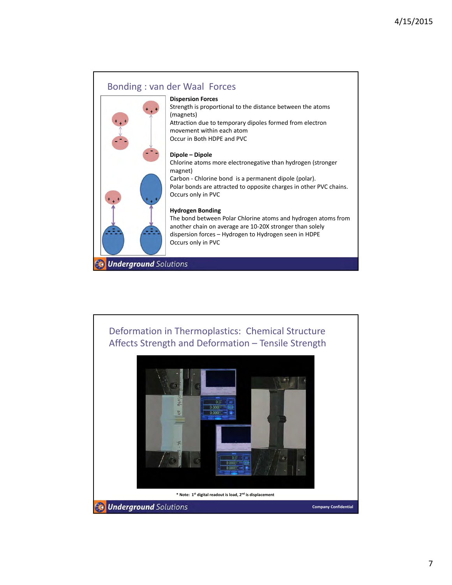### Bonding : van der Waal Forces



#### **Dispersion Forces**

Strength is proportional to the distance between the atoms (magnets) Attraction due to temporary dipoles formed from electron movement within each atom Occur in Both HDPE and PVC

#### **Dipole – Dipole**

Chlorine atoms more electronegative than hydrogen (stronger magnet) Carbon ‐ Chlorine bond is a permanent dipole (polar). Polar bonds are attracted to opposite charges in other PVC chains. Occurs only in PVC

#### **Hydrogen Bonding**

The bond between Polar Chlorine atoms and hydrogen atoms from another chain on average are 10‐20X stronger than solely dispersion forces – Hydrogen to Hydrogen seen in HDPE Occurs only in PVC

**Underground Solutions** 

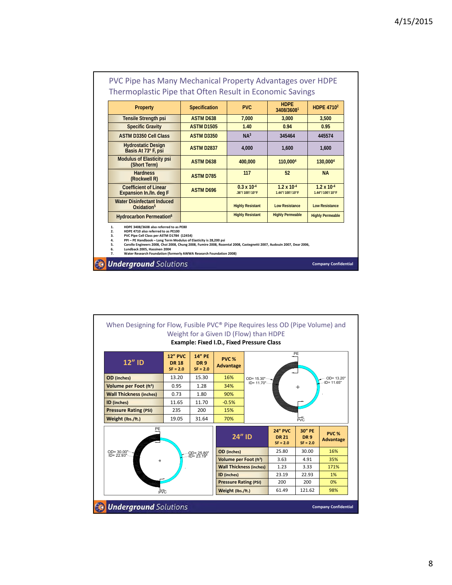| <b>Property</b>                                                                                                                                                                                                                                                                                                                                                                                                                                                            | <b>Specification</b> | <b>PVC</b>                             | <b>HDPE</b><br>3408/36081               | <b>HDPE 4710<sup>2</sup></b>            |
|----------------------------------------------------------------------------------------------------------------------------------------------------------------------------------------------------------------------------------------------------------------------------------------------------------------------------------------------------------------------------------------------------------------------------------------------------------------------------|----------------------|----------------------------------------|-----------------------------------------|-----------------------------------------|
| <b>Tensile Strength psi</b>                                                                                                                                                                                                                                                                                                                                                                                                                                                | <b>ASTM D638</b>     | 7,000                                  | 3,000                                   | 3,500                                   |
| <b>Specific Gravity</b>                                                                                                                                                                                                                                                                                                                                                                                                                                                    | <b>ASTM D1505</b>    | 1.40                                   | 0.94                                    | 0.95                                    |
| <b>ASTM D3350 Cell Class</b>                                                                                                                                                                                                                                                                                                                                                                                                                                               | <b>ASTM D3350</b>    | NA <sup>3</sup>                        | 345464                                  | 445574                                  |
| <b>Hydrostatic Design</b><br>Basis At 73° F, psi                                                                                                                                                                                                                                                                                                                                                                                                                           | <b>ASTM D2837</b>    | 4,000                                  | 1,600                                   | 1,600                                   |
| <b>Modulus of Elasticity psi</b><br>(Short Term)                                                                                                                                                                                                                                                                                                                                                                                                                           | <b>ASTM D638</b>     | 400,000                                | 110,0004                                | 130,0004                                |
| <b>Hardness</b><br>(Rockwell R)                                                                                                                                                                                                                                                                                                                                                                                                                                            | <b>ASTM D785</b>     | 117                                    | 52                                      | <b>NA</b>                               |
| Coefficient of Linear<br>Expansion In./In. deg F                                                                                                                                                                                                                                                                                                                                                                                                                           | <b>ASTM D696</b>     | $0.3 \times 10^{-4}$<br>.36"/100'/10°F | $1.2 \times 10^{-4}$<br>1.44"/100'/10°F | $1.2 \times 10^{-4}$<br>1.44"/100'/10°F |
| <b>Water Disinfectant Induced</b><br>Oxidation <sup>5</sup>                                                                                                                                                                                                                                                                                                                                                                                                                |                      | <b>Highly Resistant</b>                | <b>Low Resistance</b>                   | <b>Low Resistance</b>                   |
| Hydrocarbon Permeation <sup>6</sup>                                                                                                                                                                                                                                                                                                                                                                                                                                        |                      | <b>Highly Resistant</b>                | <b>Highly Permeable</b>                 | <b>Highly Permeable</b>                 |
| HDPE 3408/3608 also referred to as PE80<br>1.<br>2.<br>HDPE 4710 also referred to as PE100<br>PVC Pipe Cell Class per ASTM D1784 (12454)<br>3.<br>PPI - PE Handbook - Long Term Modulus of Elasticity is 28,200 psi<br>4.<br>5.<br>Carollo Engineers 2008, Choi 2008, Chung 2008, Fumire 2008, Rozental 2008, Castegnetti 2007, Audouin 2007, Dear 2006,<br>6.<br>Lundback 2005, Hassinen 2004<br>7.<br>Water Research Foundation (formerly AWWA Research Foundation 2008) |                      |                                        |                                         |                                         |

**Company Confidential**

# PVC Pipe has Many Mechanical Property Advantages over HDPE

**Co Underground** Solutions

When Designing for Flow, Fusible PVC® Pipe Requires less OD (Pipe Volume) and Weight for a Given ID (Flow) than HDPE **Example: Fixed I.D., Fixed Pressure Class** PE **12" PVC 14" PE PVC % 12" ID DR 18 DR 9 Advantage SF = 2.0 SF = 2.0 OD** (inches) 13.20 15.30 16% OD= 15.30" ID= 11.70"OD= 13.20" ID= 11.65" **Volume per Foot (ft<sup>3</sup>) | 0.95 | 1.28 | 34% Wall Thickness (inches)** 0.73 1.80 90%<br> **D (inches)** 11.65 11.70 -0.5% **ID** (inches) 11.65 11.70 -0.5% **Pressure Rating (PSI)** 235 200 15% **Weight (lbs./ft.)** 19.05 31.64 70% PVC PE **24" PVC 30" PE PVC % 24" ID DR 9 DR 21 Advantage SF = 2.0 SF = 2.0 OD** (inches) 25.80 30.00 16% OD= 30.00" ID= 22.93" OD= 25.80" ID= 23.19" **Volume per Foot (ft3)** 3.63 4.91 35% **Wall Thickness (inches)** 1.23 3.33 171% **ID (inches)** 23.19 22.93 1% **Pressure Rating (PSI)** 200 200 0% **Weight (lbs./ft.)** 61.49 121.62 98% PVC **Underground** Solutions Ġ. **Company Confidential**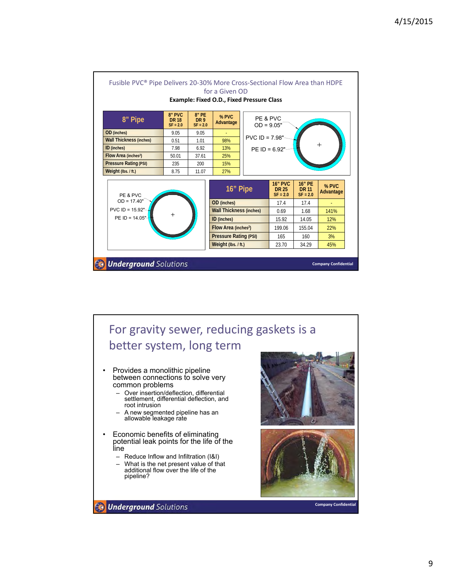

# For gravity sewer, reducing gaskets is a better system, long term

- Provides a monolithic pipeline between connections to solve very common problems
	- Over insertion/deflection, differential settlement, differential deflection, and root intrusion
	- A new segmented pipeline has an allowable leakage rate
- Economic benefits of eliminating potential leak points for the life of the line
	- Reduce Inflow and Infiltration (I&I)
	- What is the net present value of that additional flow over the life of the pipeline?





**Company Confidential**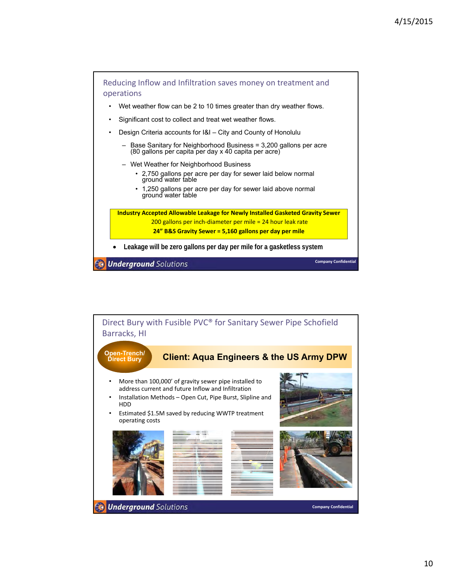

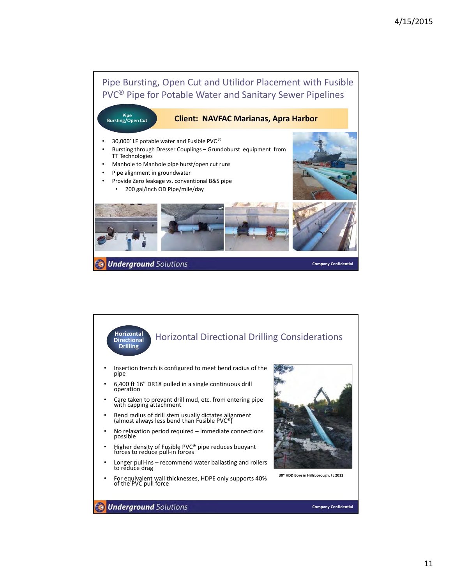

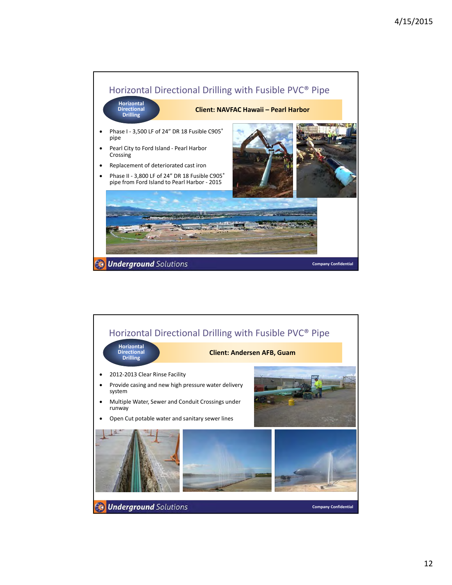

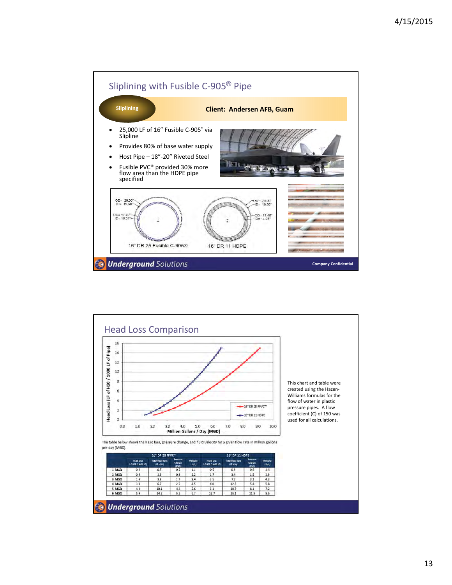

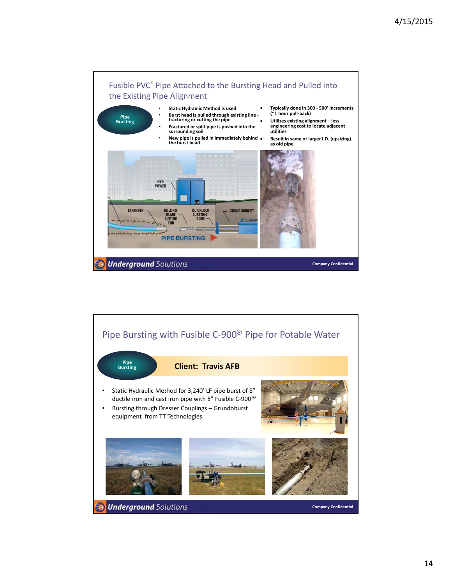